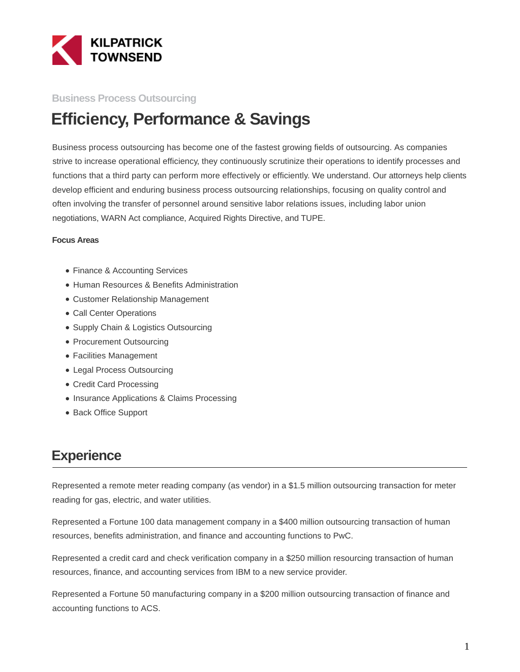

### **Business Process Outsourcing**

# **Efficiency, Performance & Savings**

Business process outsourcing has become one of the fastest growing fields of outsourcing. As companies strive to increase operational efficiency, they continuously scrutinize their operations to identify processes and functions that a third party can perform more effectively or efficiently. We understand. Our attorneys help clients develop efficient and enduring business process outsourcing relationships, focusing on quality control and often involving the transfer of personnel around sensitive labor relations issues, including labor union negotiations, WARN Act compliance, Acquired Rights Directive, and TUPE.

#### **Focus Areas**

- Finance & Accounting Services
- Human Resources & Benefits Administration
- Customer Relationship Management
- Call Center Operations
- Supply Chain & Logistics Outsourcing
- Procurement Outsourcing
- Facilities Management
- Legal Process Outsourcing
- Credit Card Processing
- Insurance Applications & Claims Processing
- Back Office Support

### **Experience**

Represented a remote meter reading company (as vendor) in a \$1.5 million outsourcing transaction for meter reading for gas, electric, and water utilities.

Represented a Fortune 100 data management company in a \$400 million outsourcing transaction of human resources, benefits administration, and finance and accounting functions to PwC.

Represented a credit card and check verification company in a \$250 million resourcing transaction of human resources, finance, and accounting services from IBM to a new service provider.

Represented a Fortune 50 manufacturing company in a \$200 million outsourcing transaction of finance and accounting functions to ACS.